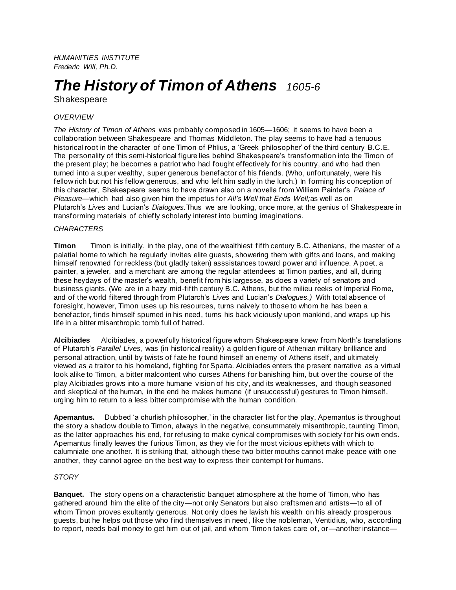*HUMANITIES INSTITUTE Frederic Will, Ph.D.*

# *The History of Timon of Athens 1605-6*

Shakespeare

# *OVERVIEW*

*The History of Timon of Athens* was probably composed in 1605—1606; it seems to have been a collaboration between Shakespeare and Thomas Middleton. The play seems to have had a tenuous historical root in the character of one Timon of Phlius, a 'Greek philosopher' of the third century B.C.E. The personality of this semi-historical figure lies behind Shakespeare's transformation into the Timon of the present play; he becomes a patriot who had fought effectively for his country, and who had then turned into a super wealthy, super generous benefactor of his friends. (Who, unfortunately, were his fellow rich but not his fellow generous, and who left him sadly in the lurch.) In forming his conception of this character, Shakespeare seems to have drawn also on a novella from William Painter's *Palace of Pleasure*—which had also given him the impetus for *All's Well that Ends Well;*as well as on Plutarch's *Lives* and Lucian's *Dialogues.*Thus we are looking, once more, at the genius of Shakespeare in transforming materials of chiefly scholarly interest into burning imaginations.

## *CHARACTERS*

**Timon** Timon is initially, in the play, one of the wealthiest fifth century B.C. Athenians, the master of a palatial home to which he regularly invites elite guests, showering them with gifts and loans, and making himself renowned for reckless (but gladly taken) asssistances toward power and influence. A poet, a painter, a jeweler, and a merchant are among the regular attendees at Timon parties, and all, during these heydays of the master's wealth, benefit from his largesse, as does a variety of senators and business giants. (We are in a hazy mid-fifth century B.C. Athens, but the milieu reeks of Imperial Rome, and of the world filtered through from Plutarch's *Lives* and Lucian's *Dialogues.)* With total absence of foresight, however, Timon uses up his resources, turns naively to those to whom he has been a benefactor, finds himself spurned in his need, turns his back viciously upon mankind, and wraps up his life in a bitter misanthropic tomb full of hatred.

**Alcibiades** Alcibiades, a powerfully historical figure whom Shakespeare knew from North's translations of Plutarch's *Parallel Lives*, was (in historical reality) a golden figure of Athenian military brilliance and personal attraction, until by twists of fate he found himself an enemy of Athens itself, and ultimately viewed as a traitor to his homeland, fighting for Sparta. Alcibiades enters the present narrative as a virtual look alike to Timon, a bitter malcontent who curses Athens for banishing him, but over the course of the play Alcibiades grows into a more humane vision of his city, and its weaknesses, and though seasoned and skeptical of the human, in the end he makes humane (if unsuccessful) gestures to Timon himself, urging him to return to a less bitter compromise with the human condition.

**Apemantus.** Dubbed 'a churlish philosopher,' in the character list for the play, Apemantus is throughout the story a shadow double to Timon, always in the negative, consummately misanthropic, taunting Timon, as the latter approaches his end, for refusing to make cynical compromises with society for his own ends. Apemantus finally leaves the furious Timon, as they vie for the most vicious epithets with which to calumniate one another. It is striking that, although these two bitter mouths cannot make peace with one another, they cannot agree on the best way to express their contempt for humans.

## *STORY*

**Banquet.** The story opens on a characteristic banquet atmosphere at the home of Timon, who has gathered around him the elite of the city—not only Senators but also craftsmen and artists—to all of whom Timon proves exultantly generous. Not only does he lavish his wealth on his already prosperous guests, but he helps out those who find themselves in need, like the nobleman, Ventidius, who, according to report, needs bail money to get him out of jail, and whom Timon takes care of, or—another instance—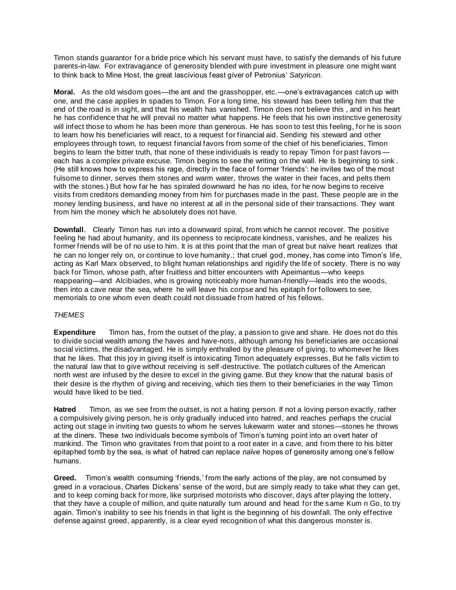Timon stands guarantor for a bride price which his servant must have, to satisfy the demands of his future parents-in-law. For extravagance of generosity blended with pure investment in pleasure one might want to think back to Mine Host, the great lascivious feast giver of Petronius' *Satyricon*.

**Moral.** As the old wisdom goes—the ant and the grasshopper, etc.—one's extravagances catch up with one, and the case applies In spades to Timon. For a long time, his steward has been telling him that the end of the road is in sight, and that his wealth has vanished. Timon does not believe this , and in his heart he has confidence that he will prevail no matter what happens. He feels that his own instinctive generosity will infect those to whom he has been more than generous. He has soon to test this feeling, for he is soon to learn how his beneficiaries will react, to a request for financial aid. Sending his steward and other employees through town, to request financial favors from some of the chief of his beneficiaries, Timon begins to learn the bitter truth, that none of these individuals is ready to repay Timon for past favors each has a complex private excuse. Timon begins to see the writing on the wall. He Is beginning to sink . (He still knows how to express his rage, directly in the face of former 'friends': he invites two of the most fulsome to dinner, serves them stones and warm water, throws the water in their faces, and pelts them with the stones.) But how far he has spiraled downward he has no idea, for he now begins to receive visits from creditors demanding money from him for purchases made in the past. These people are in the money lending business, and have no interest at all in the personal side of their transactions. They want from him the money which he absolutely does not have.

**Downfall**. Clearly Timon has run into a downward spiral, from which he cannot recover. The positive feeling he had about humanity, and its openness to reciprocate kindness, vanishes, and he realizes his former friends will be of no use to him. It is at this point that the man of great but naïve heart realizes that he can no longer rely on, or continue to love humanity.; that cruel god, money, has come into Timon's life, acting as Karl Marx observed, to blight human relationships and rigidify the life of society. There is no way back for Timon, whose path, after fruitless and bitter encounters with Apeimantus—who keeps reappearing—and Alcibiades, who is growing noticeably more human-friendly—leads into the woods, then into a cave near the sea, where he will leave his corpse and his epitaph for followers to see, memorials to one whom even death could not dissuade from hatred of his fellows.

# *THEMES*

**Expenditure** Timon has, from the outset of the play, a passion to give and share. He does not do this to divide social wealth among the haves and have-nots, although among his beneficiaries are occasional social victims, the disadvantaged. He is simply enthralled by the pleasure of giving, to whomever he likes that he likes. That this joy in giving itself is intoxicating Timon adequately expresses. But he falls victim to the natural law that to give without receiving is self -destructive. The potlatch cultures of the American north west are infused by the desire to excel in the giving game. But they know that the natural basis of their desire is the rhythm of giving and receiving, which ties them to their beneficiaries in the way Timon would have liked to be tied.

**Hatred** Timon, as we see from the outset, is not a hating person. If not a loving person exactly, rather a compulsively giving person, he is only gradually induced into hatred, and reaches perhaps the crucial acting out stage in inviting two guests to whom he serves lukewarm water and stones—stones he throws at the diners. These two individuals become symbols of Timon's turning point into an overt hater of mankind. The Timon who gravitates from that point to a root eater in a cave, and from there to his bitter epitaphed tomb by the sea, is what of hatred can replace naïve hopes of generosity among one's fellow humans.

**Greed.** Timon's wealth consuming 'friends,' from the early actions of the play, are not consumed by greed in a voracious, Charles Dickens' sense of the word, but are simply ready to take what they can get, and to keep coming back for more, like surprised motorists who discover, days after playing the lottery, that they have a couple of million, and quite naturally turn around and head for the same Kum n Go, to try again. Timon's inability to see his friends in that light is the beginning of his downfall. The only effective defense against greed, apparently, is a clear eyed recognition of what this dangerous monster is.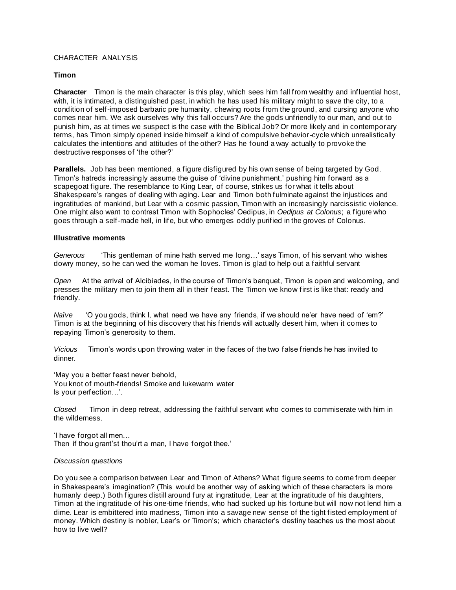## CHARACTER ANALYSIS

### **Timon**

**Character** Timon is the main character is this play, which sees him fall from wealthy and influential host, with, it is intimated, a distinguished past, in which he has used his military might to save the city, to a condition of self-imposed barbaric pre humanity, chewing roots from the ground, and cursing anyone who comes near him. We ask ourselves why this fall occurs? Are the gods unfriendly to our man, and out to punish him, as at times we suspect is the case with the Biblical Job? Or more likely and in contemporary terms, has Timon simply opened inside himself a kind of compulsive behavior-cycle which unrealistically calculates the intentions and attitudes of the other? Has he found a way actually to provoke the destructive responses of 'the other?'

**Parallels.** Job has been mentioned, a figure disfigured by his own sense of being targeted by God. Timon's hatreds increasingly assume the guise of 'divine punishment,' pushing him forward as a scapegoat figure. The resemblance to King Lear, of course, strikes us for what it tells about Shakespeare's ranges of dealing with aging. Lear and Timon both fulminate against the injustices and ingratitudes of mankind, but Lear with a cosmic passion, Timon with an increasingly narcissistic violence. One might also want to contrast Timon with Sophocles' Oedipus, in *Oedipus at Colonus*; a figure who goes through a self-made hell, in life, but who emerges oddly purified in the groves of Colonus.

#### **Illustrative moments**

*Generous* 'This gentleman of mine hath served me long…' says Timon, of his servant who wishes dowry money, so he can wed the woman he loves. Timon is glad to help out a faithful servant

*Open* At the arrival of Alcibiades, in the course of Timon's banquet, Timon is open and welcoming, and presses the military men to join them all in their feast. The Timon we know first is like that: ready and friendly.

*Naïve* 'O you gods, think I, what need we have any friends, if we should ne'er have need of 'em?' Timon is at the beginning of his discovery that his friends will actually desert him, when it comes to repaying Timon's generosity to them.

*Vicious* Timon's words upon throwing water in the faces of the two false friends he has invited to dinner.

'May you a better feast never behold, You knot of mouth-friends! Smoke and lukewarm water Is your perfection…'.

*Closed* Timon in deep retreat, addressing the faithful servant who comes to commiserate with him in the wilderness.

'I have forgot all men… Then if thou grant'st thou'rt a man, I have forgot thee.'

#### *Discussion questions*

Do you see a comparison between Lear and Timon of Athens? What figure seems to come from deeper in Shakespeare's imagination? (This would be another way of asking which of these characters is more humanly deep.) Both figures distill around fury at ingratitude, Lear at the ingratitude of his daughters, Timon at the ingratitude of his one-time friends, who had sucked up his fortune but will now not lend him a dime. Lear is embittered into madness, Timon into a savage new sense of the tight fisted employment of money. Which destiny is nobler, Lear's or Timon's; which character's destiny teaches us the most about how to live well?